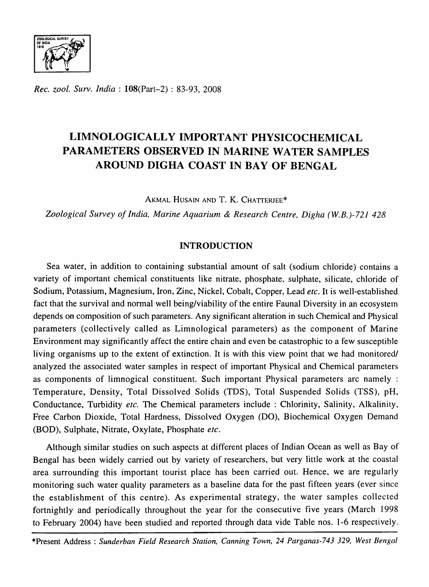

*Rec. zool. Surv. India* : l08(Part-2) : 83-93, 2008

# **LIMNOLOGICALLY IMPORTANT PHYSICOCHEMICAL PARAMETERS OBSERVED IN MARINE WATER SAMPLES AROUND DIGHA COAST IN BAY OF BENGAL**

AKMAL HUSAIN AND T. K. CHATTERJEE\*

*Zoological Survey of India, Marine Aquarium* & *Research Centre, Digha (W.B.)-721 428* 

# INTRODUCTION

Sea water, in addition to containing substantial amount of salt (sodium chloride) contains a variety of important chemical constituents like nitrate, phosphate, sulphate, silicate, chloride of Sodium, Potassium, Magnesium, Iron, Zinc, Nickel, Cobalt, Copper, Lead *etc.* It is well-established fact that the survival and normal well being/viability of the entire Faunal Diversity in an ecosystem depends on composition of such parameters. Any significant alteration in such Chemical and Physical parameters (collectively called as Limnological parameters) as the component of Marine Environment may significantly affect the entire chain and even be catastrophic to a few susceptible living organisms up to the extent of extinction. It is with this view point that we had monitored/ analyzed the associated water samples in respect of important Physical and Chemical parameters as components of limnogical constituent. Such important Physical parameters arc namely : Temperature, Density, Total Dissolved Solids (TDS), Total Suspended Solids (TSS), pH, Conductance, Turbidity *etc.* The Chemical parameters include: Chlorinity, Salinity, Alkalinity, Free Carbon Dioxide, Total Hardness, Dissolved Oxygen (DO), Biochemical Oxygen Demand (BOD), Sulphate, Nitrate, Oxylate, Phosphate *etc.* 

Although similar studies on such aspects at different places of Indian Ocean as well as Bay of Bengal has been widely carried out by variety of researchers, but very little work at the coastal area surrounding this important tourist place has been carried out. Hence, we are regularly monitoring such water quality parameters as a baseline data for the past fifteen years (ever since the establishment of this centre). As experimental strategy, the water samples collected fortnightly and periodically throughout the year for the consecutive five years (March 1998 to February 2004) have been studied and reported through data vide Table nos. 1-6 respectively.

\*Present Address: *Sunderban Field Research Station, Canning Town,* 24 *Parganas-743* 329, *West Bengal*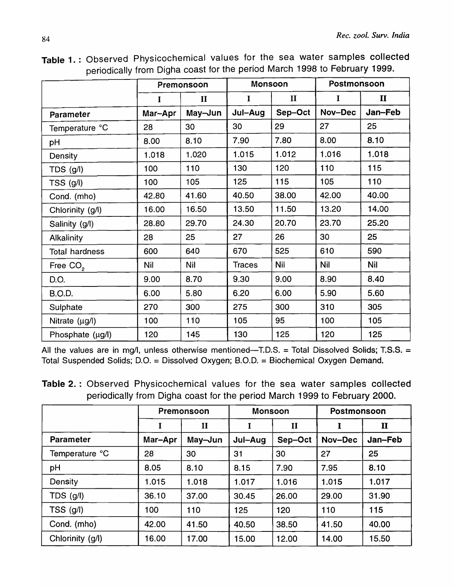| Table 1.: Observed Physicochemical values for the sea water samples collected |  |  |  |  |  |
|-------------------------------------------------------------------------------|--|--|--|--|--|
| periodically from Digha coast for the period March 1998 to February 1999.     |  |  |  |  |  |

|                       | Premonsoon   |              |               | Monsoon      |             | Postmonsoon  |  |
|-----------------------|--------------|--------------|---------------|--------------|-------------|--------------|--|
|                       | $\mathbf{I}$ | $\mathbf{I}$ | $\mathbf I$   | $\mathbf{I}$ | $\mathbf I$ | $\mathbf{I}$ |  |
| Parameter             | Mar-Apr      | May-Jun      | Jul-Aug       | Sep-Oct      | Nov-Dec     | Jan-Feb      |  |
| Temperature °C        | 28           | 30           | 30            | 29           | 27          | 25           |  |
| pH                    | 8.00         | 8.10         | 7.90          | 7.80         | 8.00        | 8.10         |  |
| Density               | 1.018        | 1.020        | 1.015         | 1.012        | 1.016       | 1.018        |  |
| TDS (g/l)             | 100          | 110          | 130           | 120          | 110         | 115          |  |
| TSS (g/l)             | 100          | 105          | 125           | 115          | 105         | 110          |  |
| Cond. (mho)           | 42.80        | 41.60        | 40.50         | 38.00        | 42.00       | 40.00        |  |
| Chlorinity (g/l)      | 16.00        | 16.50        | 13.50         | 11.50        | 13.20       | 14.00        |  |
| Salinity (g/l)        | 28.80        | 29.70        | 24.30         | 20.70        | 23.70       | 25.20        |  |
| <b>Alkalinity</b>     | 28           | 25           | 27            | 26           | 30          | 25           |  |
| <b>Total hardness</b> | 600          | 640          | 670           | 525          | 610         | 590          |  |
| Free CO <sub>2</sub>  | Nil          | <b>Nil</b>   | <b>Traces</b> | <b>Nil</b>   | <b>Nil</b>  | <b>Nil</b>   |  |
| D.O.                  | 9.00         | 8.70         | 9.30          | 9.00         | 8.90        | 8.40         |  |
| <b>B.O.D.</b>         | 6.00         | 5.80         | 6.20          | 6.00         | 5.90        | 5.60         |  |
| Sulphate              | 270          | 300          | 275           | 300          | 310         | 305          |  |
| Nitrate $(\mu g/l)$   | 100          | 110          | 105           | 95           | 100         | 105          |  |
| Phosphate (µg/l)      | 120          | 145          | 130           | 125          | 120         | 125          |  |

Table 2. : Observed Physicochemical values for the sea water samples collected periodically from Digha coast for the period March 1999 to February 2000.

|                  | Premonsoon |              | <b>Monsoon</b> |              | Postmonsoon |              |
|------------------|------------|--------------|----------------|--------------|-------------|--------------|
|                  | I          | $\mathbf{I}$ | I              | $\mathbf{I}$ | I           | $\mathbf{u}$ |
| <b>Parameter</b> | Mar-Apr    | May-Jun      | Jul-Aug        | Sep-Oct      | Nov-Dec     | Jan-Feb      |
| Temperature °C   | 28         | 30           | 31             | 30           | 27          | 25           |
| pH               | 8.05       | 8.10         | 8.15           | 7.90         | 7.95        | 8.10         |
| Density          | 1.015      | 1.018        | 1.017          | 1.016        | 1.015       | 1.017        |
| $TDS$ (g/l)      | 36.10      | 37.00        | 30.45          | 26.00        | 29.00       | 31.90        |
| $TSS$ (g/l)      | 100        | 110          | 125            | 120          | 110         | 115          |
| Cond. (mho)      | 42.00      | 41.50        | 40.50          | 38.50        | 41.50       | 40.00        |
| Chlorinity (g/l) | 16.00      | 17.00        | 15.00          | 12.00        | 14.00       | 15.50        |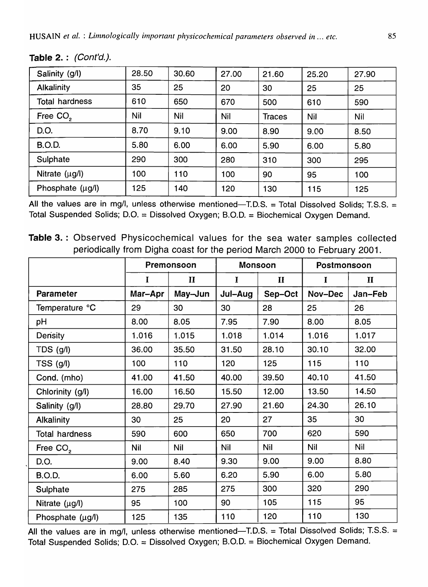| Salinity (g/l)        | 28.50 | 30.60 | 27.00 | 21.60         | 25.20 | 27.90 |
|-----------------------|-------|-------|-------|---------------|-------|-------|
| <b>Alkalinity</b>     | 35    | 25    | 20    | 30            | 25    | 25    |
| <b>Total hardness</b> | 610   | 650   | 670   | 500           | 610   | 590   |
| Free CO <sub>2</sub>  | Nil   | Nil   | Nil   | <b>Traces</b> | Nil   | Nil   |
| D.O.                  | 8.70  | 9.10  | 9.00  | 8.90          | 9.00  | 8.50  |
| <b>B.O.D.</b>         | 5.80  | 6.00  | 6.00  | 5.90          | 6.00  | 5.80  |
| Sulphate              | 290   | 300   | 280   | 310           | 300   | 295   |
| Nitrate $(\mu g/l)$   | 100   | 110   | 100   | 90            | 95    | 100   |
| Phosphate $(\mu g/l)$ | 125   | 140   | 120   | 130           | 115   | 125   |

Table 2.: (Cont'd.).

All the values are in mg/l, unless otherwise mentioned-T.D.S. = Total Dissolved Solids; T.S.S. = Total Suspended Solids; D.O. = Dissolved Oxygen; B.O.D. = Biochemical Oxygen Demand.

Table 3. : Observed Physicochemical values for the sea water samples collected periodically from Digha coast for the period March 2000 to February 2001.

|                       | Premonsoon |              | <b>Monsoon</b> |              | Postmonsoon |              |
|-----------------------|------------|--------------|----------------|--------------|-------------|--------------|
|                       | I          | $\mathbf{I}$ | I              | $\mathbf{I}$ | I           | $\mathbf{I}$ |
| <b>Parameter</b>      | Mar-Apr    | May-Jun      | Jul-Aug        | Sep-Oct      | Nov-Dec     | Jan-Feb      |
| Temperature °C        | 29         | 30           | 30             | 28           | 25          | 26           |
| рH                    | 8.00       | 8.05         | 7.95           | 7.90         | 8.00        | 8.05         |
| Density               | 1.016      | 1.015        | 1.018          | 1.014        | 1.016       | 1.017        |
| TDS (g/l)             | 36.00      | 35.50        | 31.50          | 28.10        | 30.10       | 32.00        |
| TSS (g/l)             | 100        | 110          | 120            | 125          | 115         | 110          |
| Cond. (mho)           | 41.00      | 41.50        | 40.00          | 39.50        | 40.10       | 41.50        |
| Chlorinity (g/l)      | 16.00      | 16.50        | 15.50          | 12.00        | 13.50       | 14.50        |
| Salinity (g/l)        | 28.80      | 29.70        | 27.90          | 21.60        | 24.30       | 26.10        |
| <b>Alkalinity</b>     | 30         | 25           | 20             | 27           | 35          | 30           |
| <b>Total hardness</b> | 590        | 600          | 650            | 700          | 620         | 590          |
| Free CO <sub>2</sub>  | <b>Nil</b> | <b>Nil</b>   | <b>Nil</b>     | <b>Nil</b>   | <b>Nil</b>  | Nil          |
| D.O.                  | 9.00       | 8.40         | 9.30           | 9.00         | 9.00        | 8.80         |
| <b>B.O.D.</b>         | 6.00       | 5.60         | 6.20           | 5.90         | 6.00        | 5.80         |
| Sulphate              | 275        | 285          | 275            | 300          | 320         | 290          |
| Nitrate (µg/l)        | 95         | 100          | 90             | 105          | 115         | 95           |
| Phosphate (µg/l)      | 125        | 135          | 110            | 120          | 110         | 130          |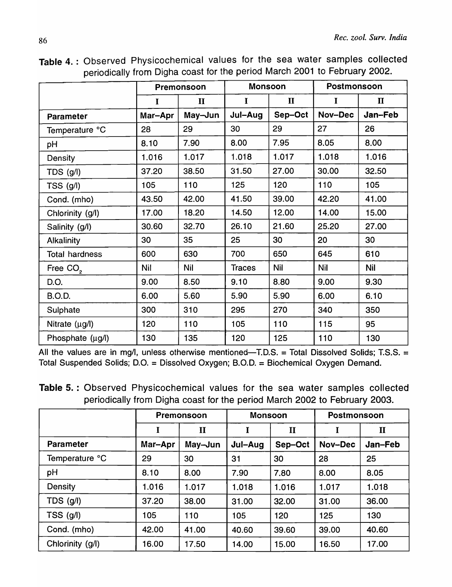|                       |              | Premonsoon   |               | <b>Monsoon</b> | Postmonsoon |              |
|-----------------------|--------------|--------------|---------------|----------------|-------------|--------------|
|                       | $\mathbf{I}$ | $\mathbf{I}$ | $\mathbf I$   | $\mathbf{I}$   | $\mathbf I$ | $\mathbf{I}$ |
| Parameter             | Mar-Apr      | May-Jun      | Jul-Aug       | Sep-Oct        | Nov-Dec     | Jan-Feb      |
| Temperature °C        | 28           | 29           | 30            | 29             | 27          | 26           |
| pH                    | 8.10         | 7.90         | 8.00          | 7.95           | 8.05        | 8.00         |
| Density               | 1.016        | 1.017        | 1.018         | 1.017          | 1.018       | 1.016        |
| TDS (g/l)             | 37.20        | 38.50        | 31.50         | 27.00          | 30.00       | 32.50        |
| TSS (g/l)             | 105          | 110          | 125           | 120            | 110         | 105          |
| Cond. (mho)           | 43.50        | 42.00        | 41.50         | 39.00          | 42.20       | 41.00        |
| Chlorinity (g/l)      | 17.00        | 18.20        | 14.50         | 12.00          | 14.00       | 15.00        |
| Salinity (g/l)        | 30.60        | 32.70        | 26.10         | 21.60          | 25.20       | 27.00        |
| Alkalinity            | 30           | 35           | 25            | 30             | 20          | 30           |
| <b>Total hardness</b> | 600          | 630          | 700           | 650            | 645         | 610          |
| Free CO <sub>2</sub>  | <b>Nil</b>   | <b>Nil</b>   | <b>Traces</b> | <b>Nil</b>     | <b>Nil</b>  | Nil          |
| D.O.                  | 9.00         | 8.50         | 9.10          | 8.80           | 9.00        | 9.30         |
| <b>B.O.D.</b>         | 6.00         | 5.60         | 5.90          | 5.90           | 6.00        | 6.10         |
| Sulphate              | 300          | 310          | 295           | 270            | 340         | 350          |
| Nitrate $(\mu g/l)$   | 120          | 110          | 105           | 110            | 115         | 95           |
| Phosphate (µg/l)      | 130          | 135          | 120           | 125            | 110         | 130          |

Table 4. : Observed Physicochemical values for the sea water samples collected periodically from Digha coast for the period March 2001 to February 2002.

Table 5. : Observed Physicochemical values for the sea water samples collected periodically from Digha coast for the period March 2002 to February 2003.

|                  | Premonsoon |              | <b>Monsoon</b> |              | Postmonsoon |              |
|------------------|------------|--------------|----------------|--------------|-------------|--------------|
|                  | I          | $\mathbf{I}$ |                | $\mathbf{I}$ | I           | $\mathbf{I}$ |
| <b>Parameter</b> | Mar-Apr    | May-Jun      | Jul-Aug        | Sep-Oct      | Nov-Dec     | Jan-Feb      |
| Temperature °C   | 29         | 30           | 31             | 30           | 28          | 25           |
| pH               | 8.10       | 8.00         | 7.90           | 7.80         | 8.00        | 8.05         |
| Density          | 1.016      | 1.017        | 1.018          | 1.016        | 1.017       | 1.018        |
| TDS (g/l)        | 37.20      | 38.00        | 31.00          | 32.00        | 31.00       | 36.00        |
| TSS (g/l)        | 105        | 110          | 105            | 120          | 125         | 130          |
| Cond. (mho)      | 42.00      | 41.00        | 40.60          | 39.60        | 39.00       | 40.60        |
| Chlorinity (g/l) | 16.00      | 17.50        | 14.00          | 15.00        | 16.50       | 17.00        |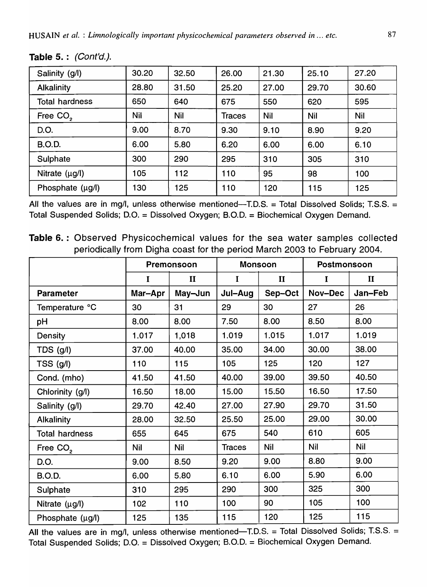| Salinity (g/l)        | 30.20      | 32.50      | 26.00  | 21.30 | 25.10 | 27.20      |
|-----------------------|------------|------------|--------|-------|-------|------------|
| <b>Alkalinity</b>     | 28.80      | 31.50      | 25.20  | 27.00 | 29.70 | 30.60      |
| <b>Total hardness</b> | 650        | 640        | 675    | 550   | 620   | 595        |
| Free CO <sub>2</sub>  | <b>Nil</b> | <b>Nil</b> | Traces | Nil   | Nil   | <b>Nil</b> |
| D.O.                  | 9.00       | 8.70       | 9.30   | 9.10  | 8.90  | 9.20       |
| <b>B.O.D.</b>         | 6.00       | 5.80       | 6.20   | 6.00  | 6.00  | 6.10       |
| Sulphate              | 300        | 290        | 295    | 310   | 305   | 310        |
| Nitrate $(\mu g/l)$   | 105        | 112        | 110    | 95    | 98    | 100        |
| Phosphate (µg/l)      | 130        | 125        | 110    | 120   | 115   | 125        |

Table 5.: (Cont'd.).

All the values are in mg/l, unless otherwise mentioned--T.D.S. = Total Dissolved Solids; T.S.S. = Total Suspended Solids; D.O. = Dissolved Oxygen; B.O.D. = Biochemical Oxygen Demand.

Table 6. : Observed Physicochemical values for the sea water samples collected periodically from Digha coast for the period March 2003 to February 2004.

|                       | Premonsoon  |              | <b>Monsoon</b> |              | Postmonsoon |              |
|-----------------------|-------------|--------------|----------------|--------------|-------------|--------------|
|                       | $\mathbf I$ | $\mathbf{I}$ | $\mathbf I$    | $\mathbf{I}$ | I           | $\mathbf{I}$ |
| <b>Parameter</b>      | Mar-Apr     | May-Jun      | Jul-Aug        | Sep-Oct      | Nov-Dec     | Jan-Feb      |
| Temperature °C        | 30          | 31           | 29             | 30           | 27          | 26           |
| pH                    | 8.00        | 8.00         | 7.50           | 8.00         | 8.50        | 8.00         |
| Density               | 1.017       | 1,018        | 1.019          | 1.015        | 1.017       | 1.019        |
| TDS (g/l)             | 37.00       | 40.00        | 35.00          | 34.00        | 30.00       | 38.00        |
| TSS (g/l)             | 110         | 115          | 105            | 125          | 120         | 127          |
| Cond. (mho)           | 41.50       | 41.50        | 40.00          | 39.00        | 39.50       | 40.50        |
| Chlorinity (g/l)      | 16.50       | 18.00        | 15.00          | 15.50        | 16.50       | 17.50        |
| Salinity (g/l)        | 29.70       | 42.40        | 27.00          | 27.90        | 29.70       | 31.50        |
| <b>Alkalinity</b>     | 28.00       | 32.50        | 25.50          | 25.00        | 29.00       | 30.00        |
| <b>Total hardness</b> | 655         | 645          | 675            | 540          | 610         | 605          |
| Free CO <sub>2</sub>  | <b>Nil</b>  | <b>Nil</b>   | <b>Traces</b>  | <b>Nil</b>   | <b>Nil</b>  | <b>Nil</b>   |
| D.O.                  | 9.00        | 8.50         | 9.20           | 9.00         | 8.80        | 9.00         |
| <b>B.O.D.</b>         | 6.00        | 5.80         | 6.10           | 6.00         | 5.90        | 6.00         |
| Sulphate              | 310         | 295          | 290            | 300          | 325         | 300          |
| Nitrate $(\mu g/l)$   | 102         | 110          | 100            | 90           | 105         | 100          |
| Phosphate (µg/l)      | 125         | 135          | 115            | 120          | 125         | 115          |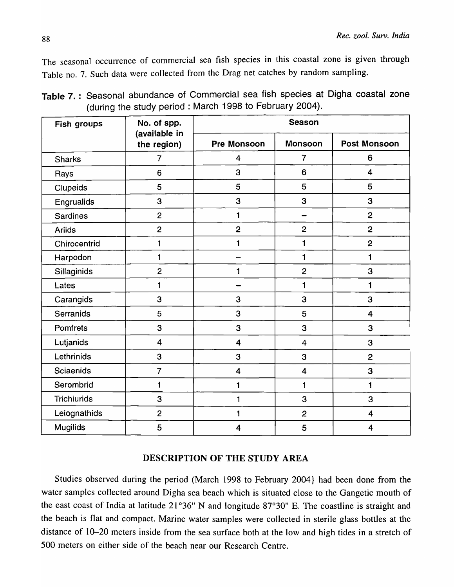The seasonal occurrence of commercial sea fish species in this coastal zone is given through Table no. 7. Such data were collected from the Drag net catches by random sampling.

| Fish groups        | No. of spp.                                 |                         | <b>Season</b>           |                         |  |  |  |  |
|--------------------|---------------------------------------------|-------------------------|-------------------------|-------------------------|--|--|--|--|
|                    | (available in<br>the region)<br>Pre Monsoon |                         | <b>Monsoon</b>          | <b>Post Monsoon</b>     |  |  |  |  |
| <b>Sharks</b>      | $\overline{7}$                              | 4                       | $\overline{7}$          | 6                       |  |  |  |  |
| Rays               | 6                                           | 3                       | 6                       | $\overline{\mathbf{4}}$ |  |  |  |  |
| Clupeids           | 5                                           | 5                       | 5                       | 5                       |  |  |  |  |
| Engrualids         | 3                                           | 3                       | 3                       | 3                       |  |  |  |  |
| <b>Sardines</b>    | $\overline{c}$                              | 1                       |                         | $\overline{c}$          |  |  |  |  |
| <b>Ariids</b>      | $\overline{2}$                              | $\overline{c}$          | $\overline{2}$          | $\overline{c}$          |  |  |  |  |
| Chirocentrid       | $\blacksquare$                              | $\mathbf{1}$            | 1                       | $\overline{2}$          |  |  |  |  |
| Harpodon           | $\mathbf{1}$                                |                         | 1                       | 1                       |  |  |  |  |
| Sillaginids        | $\overline{c}$                              | 1                       | $\overline{c}$          | 3                       |  |  |  |  |
| Lates              | 1                                           |                         | 1                       | $\mathbf{1}$            |  |  |  |  |
| Carangids          | 3                                           | 3                       | 3                       | 3                       |  |  |  |  |
| Serranids          | 5                                           | 3                       | 5                       | $\overline{\mathbf{4}}$ |  |  |  |  |
| Pomfrets           | 3                                           | 3                       | 3                       | 3                       |  |  |  |  |
| Lutjanids          | $\overline{\mathbf{4}}$                     | $\overline{\mathbf{4}}$ | $\overline{4}$          | 3                       |  |  |  |  |
| Lethrinids         | 3                                           | 3                       | 3                       | $\overline{2}$          |  |  |  |  |
| <b>Sciaenids</b>   | $\overline{7}$                              | $\overline{\mathbf{4}}$ | $\overline{\mathbf{4}}$ | 3                       |  |  |  |  |
| Serombrid          | $\mathbf{1}$                                | 1                       | 1                       | 1                       |  |  |  |  |
| <b>Trichiurids</b> | 3                                           | 1                       | 3                       | 3                       |  |  |  |  |
| Leiognathids       | $\overline{c}$                              | 1                       | $\overline{2}$          | $\overline{\mathbf{4}}$ |  |  |  |  |
| <b>Mugilids</b>    | 5                                           | $\overline{\mathbf{4}}$ | 5                       | $\overline{\mathbf{4}}$ |  |  |  |  |

Table 7. : Seasonal abundance of Commercial sea fish species at Digha coastal zone (during the study period: March 1998 to February 2004).

## DESCRIPTION OF THE STUDY AREA

Studies observed during the period (March 1998 to February 2004} had been done from the water samples collected around Digha sea beach which is situated close to the Gangetic mouth of the east coast of India at latitude 21°36" N and longitude 87°30" E. The coastline is straight and the beach is flat and compact. Marine water samples were collected in sterile glass bottles at the distance of 10-20 meters inside from the sea surface both at the low and high tides in a stretch of 500 meters on either side of the beach near our Research Centre.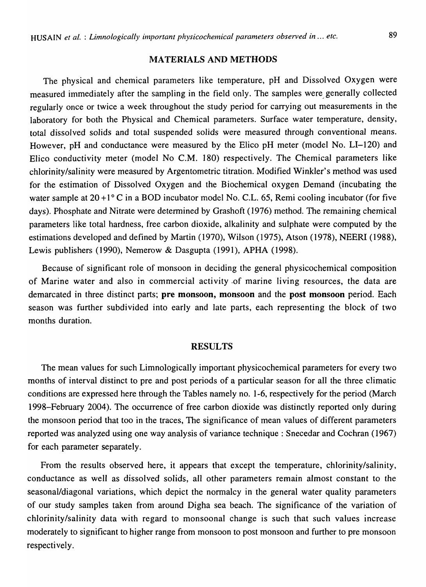#### MATERIALS AND METHODS

The physical and chemical parameters like temperature, pH and Dissolved Oxygen were measured immediately after the sampling in the field only. The samples were. generally collected regularly once or twice a week throughout the study period for carrying out measurements in the laboratory for both the Physical and Chemical parameters. Surface water temperature, density, total dissolved solids and total suspended solids were measured through conventional means. However, pH and conductance were measured by the Elico pH meter (model No. LI-120) and Elico conductivity meter (model No C.M. 180) respectively. The Chemical parameters like chlorinity/salinity were measured by Argentometric titration. Modified Winkler's method was used for the estimation of Dissolved Oxygen and the Biochemical oxygen Demand (incubating the water sample at  $20+1$ <sup>o</sup> C in a BOD incubator model No. C.L. 65, Remi cooling incubator (for five days). Phosphate and Nitrate were determined by Grashoft (1976) method. The remaining chemical parameters like total hardness, free carbon dioxide, alkalinity and sulphate were computed by the estimations developed and defined by Martin (1970), Wilson (1975), Atson (1978), NEERI (1988), Lewis publishers (1990), Nemerow & Dasgupta (1991), APHA (1998).

Because of significant role of monsoon in deciding the general physicochemical composition of Marine water and also in commercial activity .of marine living resources, the data are demarcated in three distinct parts; pre monsoon, monsoon and the post monsoon period. Each season was further subdivided into early and late parts, each representing the block of two months duration.

#### RESULTS

The mean values for such Limnologically important physicochemical parameters for every two months of interval distinct to pre and post periods of a particular season for all the three climatic conditions are expressed here through the Tables namely no. 1-6, respectively for the period (March 1998-February 2004). The occurrence of free carbon dioxide was distinctly reported only during the monsoon period that too in the traces, The significance of mean values of different parameters reported was analyzed using one way analysis of variance technique: Snecedar and Cochran (1967) for each parameter separately.

From the results observed here, it appears that except the temperature, chlorinity/salinity, conductance as well as dissolved solids, all other parameters remain almost constant to the seasonal/diagonal variations, which depict the normalcy in the general water quality parameters of our study samples taken from around Digha sea beach. The significance of the variation of chlorinity/salinity data with regard to monsoonal change is such that such values increase moderately to significant to higher range from monsoon to post monsoon and further to pre monsoon respectively.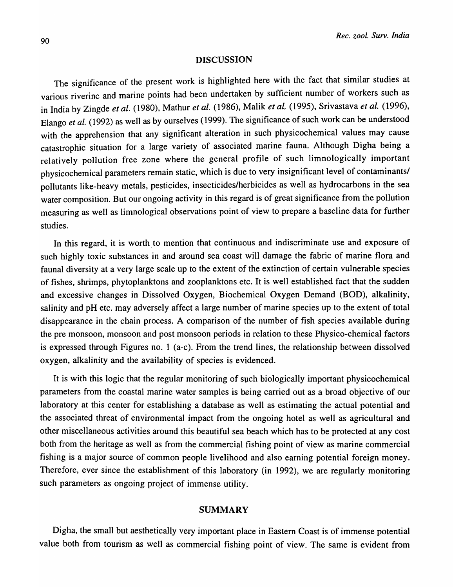#### DISCUSSION

The significance of the present work is highlighted here with the fact that similar studies at various riverine and marine points had been undertaken by sufficient number of workers such as in India by Zingde *et al.* (1980), Mathur *et al.* (1986), Malik *et al.* (1995), Srivastava *et al. (1996),*  Elango *et al.* (1992) as well as by ourselves (1999). The significance of such work can be understood with the apprehension that any significant alteration in such physicochemical values may cause catastrophic situation for a large variety of associated marine fauna. Although Digha being a relatively pollution free zone where the general profile of such limnologically important physicochemical parameters remain static, which is due to very insignificant level of contaminants/ pollutants like-heavy metals, pesticides, insecticides/herbicides as well as hydrocarbons in the sea water composition. But our ongoing activity in this regard is of great significance from the pollution measuring as well as limnological observations point of view to prepare a baseline data for further studies.

In this regard, it is worth to mention that continuous and indiscriminate use and exposure of such highly toxic substances in and around sea coast will damage the fabric of marine flora and faunal diversity at a very large scale up to the extent of the extinction of certain vulnerable species of fishes, shrimps, phytoplanktons and zooplanktons etc. It is well established fact that the sudden and excessive changes in Dissolved Oxygen, Biochemical Oxygen Demand (BOD), alkalinity, salinity and pH etc. may adversely affect a large number of marine species up to the extent of total disappearance in the chain process. A comparison of the number of fish species available during the pre monsoon, monsoon and post monsoon periods in relation to these Physico-chemical factors is expressed through Figures no. 1 (a-c). From the trend lines, the relationship between dissolved oxygen, alkalinity and the availability of species is evidenced.

It is with this logic that the regular monitoring of such biologically important physicochemical parameters from the coastal marine water samples is being carried out as a broad objective of our laboratory at this center for establishing a database as well as estimating the actual potential and the associated threat of environmental impact from the ongoing hotel as well as agricultural and other miscellaneous activities around this beautiful sea beach which has to be protected at any cost both from the heritage as well as from the commercial fishing point of view as marine commercial fishing is a major source of common people livelihood and also earning potential foreign money. Therefore, ever since the establishment of this laboratory (in 1992), we are regularly monitoring such parameters as ongoing project of immense utility.

## SUMMARY

Digha, the small but aesthetically very important place in Eastern Coast is of immense potential value both from tourism as well as commercial fishing point of view. The same is evident from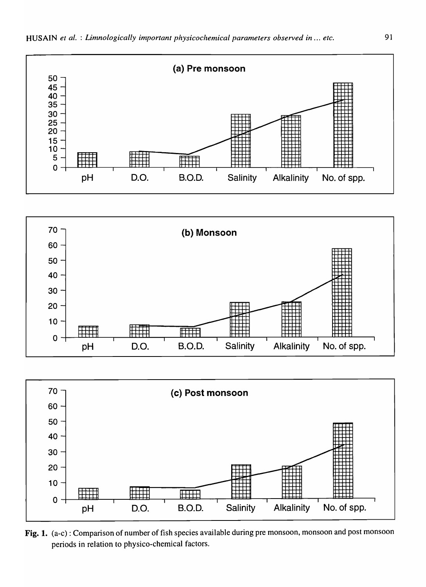





Fig. 1. (a-c): Comparison of number of fish species available during pre monsoon, monsoon and post monsoon periods in relation to physico-chemical factors.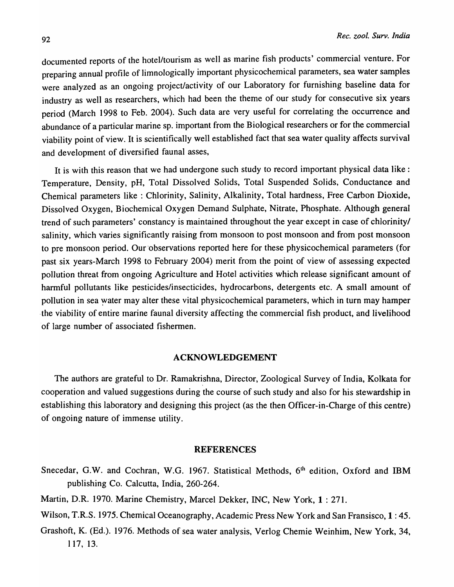documented reports of the hotel/tourism as well as marine fish products' commercial venture. For preparing annual profile of limnologically important physicochemical parameters, sea water samples were analyzed as an ongoing project/activity of our Laboratory for furnishing baseline data for industry as well as researchers, which had been the theme of our study for consecutive six years period (March 1998 to Feb. 2004). Such data are very useful for correlating the occurrence and abundance of a particular marine sp. important from the Biological researchers or for the commercial viability point of view. It is scientifically well established fact that sea water quality affects survival and development of diversified faunal asses,

It is with this reason that we had undergone such study to record important physical data like: Temperature, Density, pH, Total Dissolved Solids, Total Suspended Solids, Conductance and Chemical parameters like : Chlorinity, Salinity, Alkalinity, Total hardness, Free Carbon Dioxide, Dissolved Oxygen, Biochemical Oxygen Demand Sulphate, Nitrate, Phosphate. Although general trend of such parameters' constancy is maintained throughout the year except in case of chlorinity/ salinity, which varies significantly raising from monsoon to post monsoon and from post monsoon to pre monsoon period. Our 'observations reported here for these physicochemical parameters (for past six years-March 1998 to February 2004) merit from the point of view of assessing expected pollution threat from ongoing Agriculture and Hotel activities which release significant amount of harmful pollutants like pesticides/insecticides, hydrocarbons, detergents etc. A small amount of pollution in sea water may alter these vital physicochemical parameters, which in turn may hamper ·the viability of entire marine faunal diversity affecting the commercial fish product, and livelihood of large number of associated fishermen.

## ACKNOWLEDGEMENT

The authors are grateful to Dr. Ramakrishna, Director, Zoological Survey of India, Kolkata for cooperation and valued suggestions during the course of such study and also for his stewardship in establishing this laboratory and designing this project (as the then Officer-in-Charge of this centre) of ongoing nature of immense utility.

#### REFERENCES

- Snecedar, G.W. and Cochran, W.G. 1967. Statistical Methods, 6<sup>th</sup> edition, Oxford and IBM publishing Co. Calcutta, India, 260-264.
- Martin, D.R. 1970. Marine Chemistry, Marcel Dekker, INC, New York, 1 : 271.
- Wilson, T.R.S. 1975. Chemical Oceanography, Academic Press New York and San Fransisco, 1: 45.
- Orashoft, K. (Ed.). 1976. Methods of sea water analysis, Verlog Chemie Weinhim, New York, 34, 117, 13.